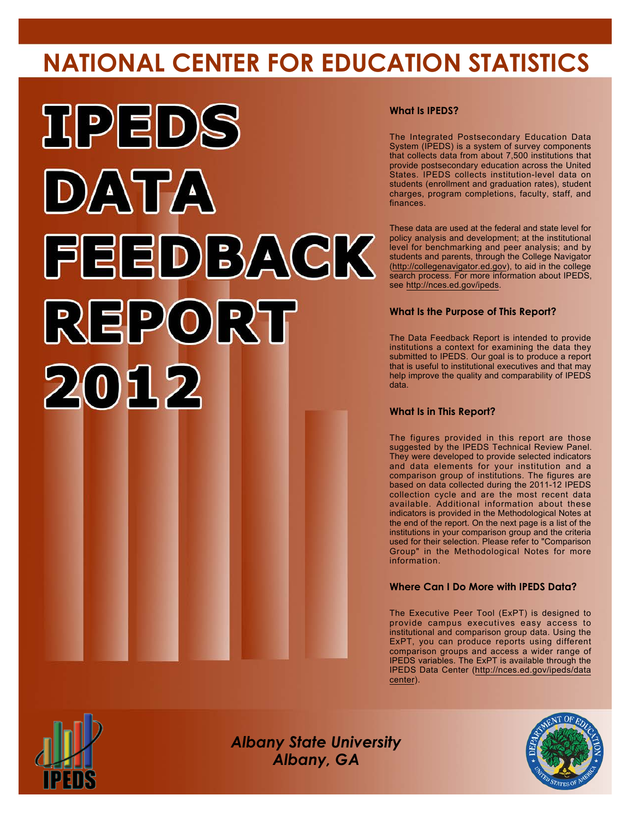# **NATIONAL CENTER FOR EDUCATION STATISTICS**



### **What Is IPEDS?**

The Integrated Postsecondary Education Data System (IPEDS) is a system of survey components that collects data from about 7,500 institutions that provide postsecondary education across the United States. IPEDS collects institution-level data on students (enrollment and graduation rates), student charges, program completions, faculty, staff, and finances.

These data are used at the federal and state level for policy analysis and development; at the institutional level for benchmarking and peer analysis; and by students and parents, through the College Navigator (<http://collegenavigator.ed.gov>), to aid in the college search process. For more information about IPEDS, see [http://nces.ed.gov/ipeds.](http://nces.ed.gov/ipeds)

## **What Is the Purpose of This Report?**

The Data Feedback Report is intended to provide institutions a context for examining the data they submitted to IPEDS. Our goal is to produce a report that is useful to institutional executives and that may help improve the quality and comparability of IPEDS data.

### **What Is in This Report?**

The figures provided in this report are those suggested by the IPEDS Technical Review Panel. They were developed to provide selected indicators and data elements for your institution and a comparison group of institutions. The figures are based on data collected during the 2011-12 IPEDS collection cycle and are the most recent data available. Additional information about these indicators is provided in the Methodological Notes at the end of the report. On the next page is a list of the institutions in your comparison group and the criteria used for their selection. Please refer to "Comparison Group" in the Methodological Notes for more information.

### **Where Can I Do More with IPEDS Data?**

The Executive Peer Tool (ExPT) is designed to provide campus executives easy access to institutional and comparison group data. Using the ExPT, you can produce reports using different comparison groups and access a wider range of IPEDS variables. The ExPT is available through the IPEDS Data Center ([http://nces.ed.gov/ipeds/data](http://nces.ed.gov/ipeds/datacenter) [center](http://nces.ed.gov/ipeds/datacenter)).



Image description. Cover Image End of image description.

*Albany State University Albany, GA*

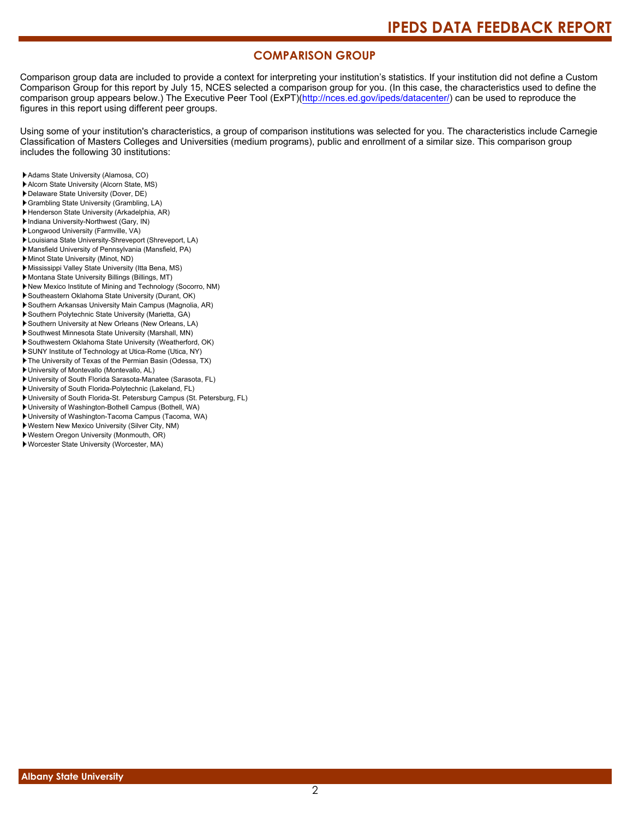## **COMPARISON GROUP**

Comparison group data are included to provide a context for interpreting your institution's statistics. If your institution did not define a Custom Comparison Group for this report by July 15, NCES selected a comparison group for you. (In this case, the characteristics used to define the comparison group appears below.) The Executive Peer Tool (ExPT)[\(http://nces.ed.gov/ipeds/datacenter/\)](http://nces.ed.gov/ipeds/datacenter/) can be used to reproduce the figures in this report using different peer groups.

Using some of your institution's characteristics, a group of comparison institutions was selected for you. The characteristics include Carnegie Classification of Masters Colleges and Universities (medium programs), public and enrollment of a similar size. This comparison group includes the following 30 institutions:

- Adams State University (Alamosa, CO)
- Alcorn State University (Alcorn State, MS)
- Delaware State University (Dover, DE)
- Grambling State University (Grambling, LA)
- Henderson State University (Arkadelphia, AR)
- Indiana University-Northwest (Gary, IN)
- Longwood University (Farmville, VA)
- Louisiana State University-Shreveport (Shreveport, LA)
- Mansfield University of Pennsylvania (Mansfield, PA)
- Minot State University (Minot, ND)
- Mississippi Valley State University (Itta Bena, MS) Montana State University Billings (Billings, MT)
- New Mexico Institute of Mining and Technology (Socorro, NM)
- Southeastern Oklahoma State University (Durant, OK)
- Southern Arkansas University Main Campus (Magnolia, AR)
- Southern Polytechnic State University (Marietta, GA)
- Southern University at New Orleans (New Orleans, LA)
- Southwest Minnesota State University (Marshall, MN)
- Southwestern Oklahoma State University (Weatherford, OK)
- SUNY Institute of Technology at Utica-Rome (Utica, NY)
- The University of Texas of the Permian Basin (Odessa, TX)
- University of Montevallo (Montevallo, AL)
- University of South Florida Sarasota-Manatee (Sarasota, FL)
- University of South Florida-Polytechnic (Lakeland, FL)
- University of South Florida-St. Petersburg Campus (St. Petersburg, FL)
- University of Washington-Bothell Campus (Bothell, WA)
- University of Washington-Tacoma Campus (Tacoma, WA)
- Western New Mexico University (Silver City, NM)
- Western Oregon University (Monmouth, OR)
- Worcester State University (Worcester, MA)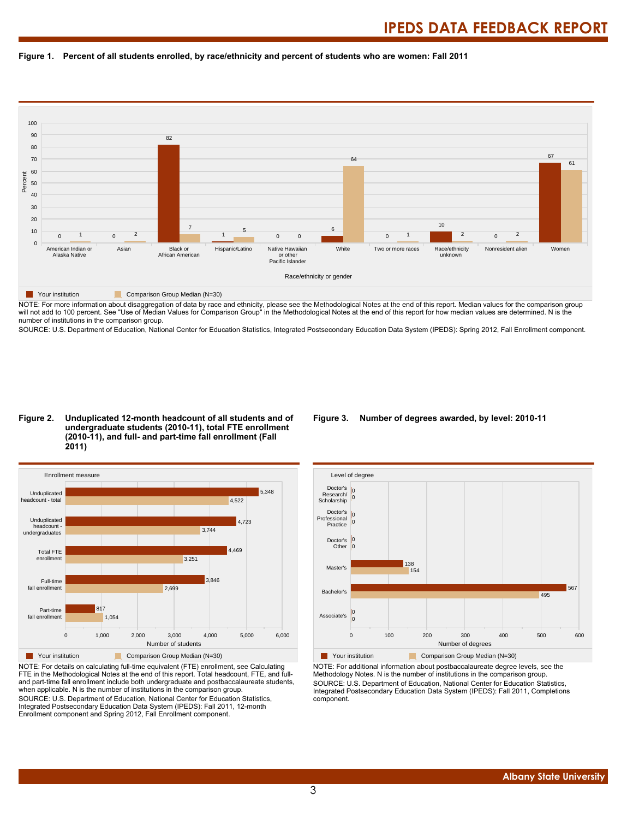



NOTE: For more information about disaggregation of data by race and ethnicity, please see the Methodological Notes at the end of this report. Median values for the comparison group will not add to 100 percent. See "Use of Median Values for Comparison Group" in the Methodological Notes at the end of this report for how median values are determined. N is the number of institutions in the comparison group.

SOURCE: U.S. Department of Education, National Center for Education Statistics, Integrated Postsecondary Education Data System (IPEDS): Spring 2012, Fall Enrollment component.

#### **Figure 2. Unduplicated 12-month headcount of all students and of undergraduate students (2010-11), total FTE enrollment (2010-11), and full- and part-time fall enrollment (Fall 2011)**



NOTE: For details on calculating full-time equivalent (FTE) enrollment, see Calculating FTE in the Methodological Notes at the end of this report. Total headcount, FTE, and fulland part-time fall enrollment include both undergraduate and postbaccalaureate students, when applicable. N is the number of institutions in the comparison group. SOURCE: U.S. Department of Education, National Center for Education Statistics, Integrated Postsecondary Education Data System (IPEDS): Fall 2011, 12-month Enrollment component and Spring 2012, Fall Enrollment component.

#### **Figure 3. Number of degrees awarded, by level: 2010-11**



NOTE: For additional information about postbaccalaureate degree levels, see the Methodology Notes. N is the number of institutions in the comparison group. SOURCE: U.S. Department of Education, National Center for Education Statistics, Integrated Postsecondary Education Data System (IPEDS): Fall 2011, Completions component.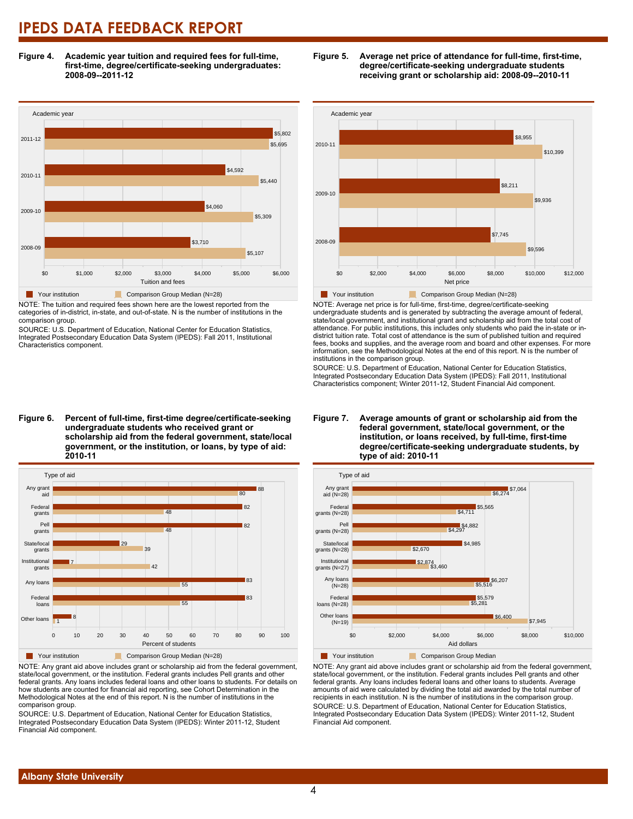**Figure 4. Academic year tuition and required fees for full-time, first-time, degree/certificate-seeking undergraduates: 2008-09--2011-12**



NOTE: The tuition and required fees shown here are the lowest reported from the categories of in-district, in-state, and out-of-state. N is the number of institutions in the comparison group.

SOURCE: U.S. Department of Education, National Center for Education Statistics, Integrated Postsecondary Education Data System (IPEDS): Fall 2011, Institutional Characteristics component.





NOTE: Any grant aid above includes grant or scholarship aid from the federal government, state/local government, or the institution. Federal grants includes Pell grants and other federal grants. Any loans includes federal loans and other loans to students. For details on how students are counted for financial aid reporting, see Cohort Determination in the Methodological Notes at the end of this report. N is the number of institutions in the comparison group.

SOURCE: U.S. Department of Education, National Center for Education Statistics, Integrated Postsecondary Education Data System (IPEDS): Winter 2011-12, Student Financial Aid component.





NOTE: Average net price is for full-time, first-time, degree/certificate-seeking undergraduate students and is generated by subtracting the average amount of federal, state/local government, and institutional grant and scholarship aid from the total cost of attendance. For public institutions, this includes only students who paid the in-state or indistrict tuition rate. Total cost of attendance is the sum of published tuition and required fees, books and supplies, and the average room and board and other expenses. For more information, see the Methodological Notes at the end of this report. N is the number of institutions in the comparison group.

SOURCE: U.S. Department of Education, National Center for Education Statistics, Integrated Postsecondary Education Data System (IPEDS): Fall 2011, Institutional Characteristics component; Winter 2011-12, Student Financial Aid component.



NOTE: Any grant aid above includes grant or scholarship aid from the federal government, state/local government, or the institution. Federal grants includes Pell grants and other federal grants. Any loans includes federal loans and other loans to students. Average amounts of aid were calculated by dividing the total aid awarded by the total number of recipients in each institution. N is the number of institutions in the comparison group. SOURCE: U.S. Department of Education, National Center for Education Statistics, Integrated Postsecondary Education Data System (IPEDS): Winter 2011-12, Student Financial Aid component.

### **Figure 7. Average amounts of grant or scholarship aid from the federal government, state/local government, or the institution, or loans received, by full-time, first-time degree/certificate-seeking undergraduate students, by**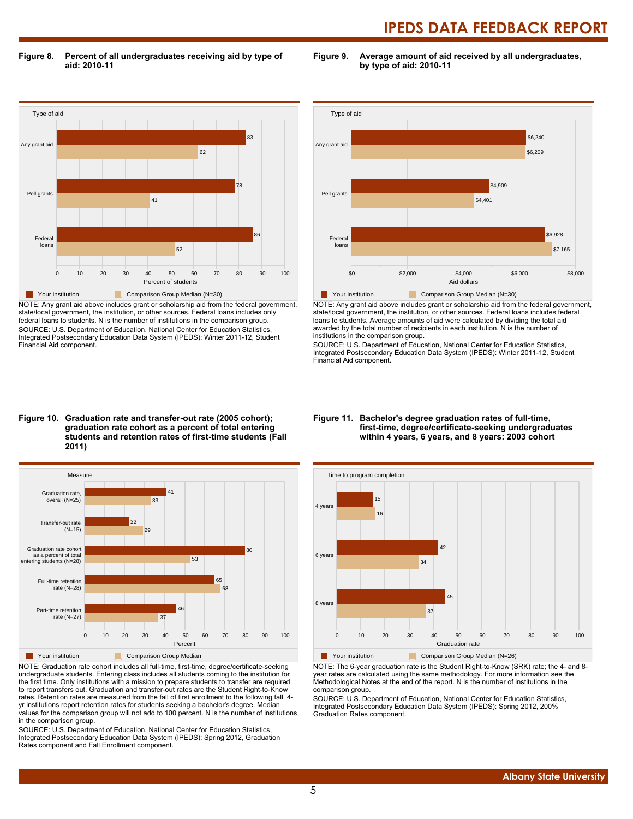**Figure 8. Percent of all undergraduates receiving aid by type of aid: 2010-11**

**Figure 9. Average amount of aid received by all undergraduates, by type of aid: 2010-11**



NOTE: Any grant aid above includes grant or scholarship aid from the federal government, state/local government, the institution, or other sources. Federal loans includes only federal loans to students. N is the number of institutions in the comparison group. SOURCE: U.S. Department of Education, National Center for Education Statistics, Integrated Postsecondary Education Data System (IPEDS): Winter 2011-12, Student Financial Aid component.



NOTE: Any grant aid above includes grant or scholarship aid from the federal government, state/local government, the institution, or other sources. Federal loans includes federal loans to students. Average amounts of aid were calculated by dividing the total aid awarded by the total number of recipients in each institution. N is the number of institutions in the comparison group.

SOURCE: U.S. Department of Education, National Center for Education Statistics, Integrated Postsecondary Education Data System (IPEDS): Winter 2011-12, Student Financial Aid component.

#### **Figure 10. Graduation rate and transfer-out rate (2005 cohort); graduation rate cohort as a percent of total entering students and retention rates of first-time students (Fall 2011)**



NOTE: Graduation rate cohort includes all full-time, first-time, degree/certificate-seeking undergraduate students. Entering class includes all students coming to the institution for the first time. Only institutions with a mission to prepare students to transfer are required to report transfers out. Graduation and transfer-out rates are the Student Right-to-Know rates. Retention rates are measured from the fall of first enrollment to the following fall. 4 yr institutions report retention rates for students seeking a bachelor's degree. Median values for the comparison group will not add to 100 percent. N is the number of institutions in the comparison group.

SOURCE: U.S. Department of Education, National Center for Education Statistics, Integrated Postsecondary Education Data System (IPEDS): Spring 2012, Graduation Rates component and Fall Enrollment component.

#### **Figure 11. Bachelor's degree graduation rates of full-time, first-time, degree/certificate-seeking undergraduates within 4 years, 6 years, and 8 years: 2003 cohort**



NOTE: The 6-year graduation rate is the Student Right-to-Know (SRK) rate; the 4- and 8-

year rates are calculated using the same methodology. For more information see the Methodological Notes at the end of the report. N is the number of institutions in the comparison group.

SOURCE: U.S. Department of Education, National Center for Education Statistics, Integrated Postsecondary Education Data System (IPEDS): Spring 2012, 200% Graduation Rates component.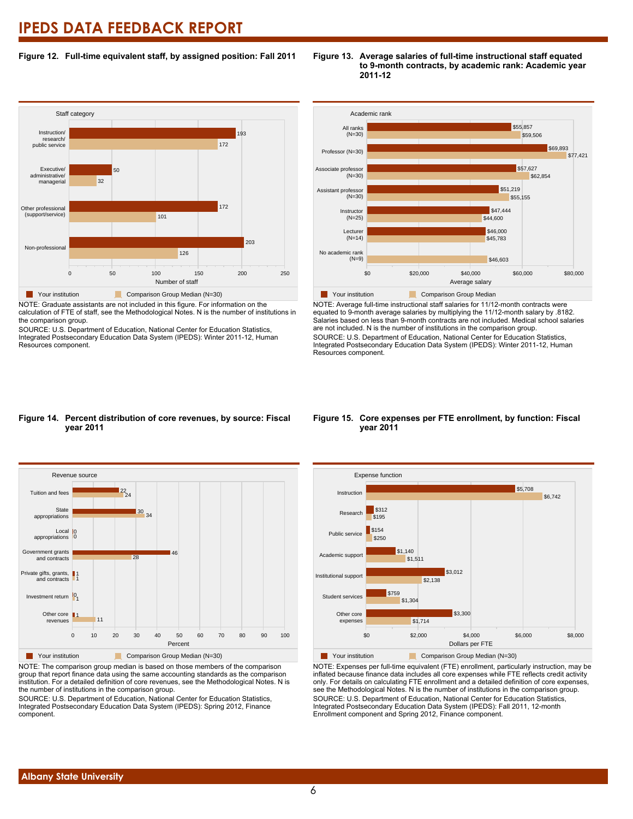### **Figure 12. Full-time equivalent staff, by assigned position: Fall 2011**



NOTE: Graduate assistants are not included in this figure. For information on the calculation of FTE of staff, see the Methodological Notes. N is the number of institutions in the comparison group.

SOURCE: U.S. Department of Education, National Center for Education Statistics, Integrated Postsecondary Education Data System (IPEDS): Winter 2011-12, Human Resources component.





NOTE: Average full-time instructional staff salaries for 11/12-month contracts were equated to 9-month average salaries by multiplying the 11/12-month salary by .8182. Salaries based on less than 9-month contracts are not included. Medical school salaries are not included. N is the number of institutions in the comparison group. SOURCE: U.S. Department of Education, National Center for Education Statistics, Integrated Postsecondary Education Data System (IPEDS): Winter 2011-12, Human Resources component.

# **year 2011**



NOTE: The comparison group median is based on those members of the comparison group that report finance data using the same accounting standards as the comparison institution. For a detailed definition of core revenues, see the Methodological Notes. N is the number of institutions in the comparison group.

SOURCE: U.S. Department of Education, National Center for Education Statistics, Integrated Postsecondary Education Data System (IPEDS): Spring 2012, Finance component.

#### **Figure 15. Core expenses per FTE enrollment, by function: Fiscal year 2011**



NOTE: Expenses per full-time equivalent (FTE) enrollment, particularly instruction, may be inflated because finance data includes all core expenses while FTE reflects credit activity only. For details on calculating FTE enrollment and a detailed definition of core expenses, see the Methodological Notes. N is the number of institutions in the comparison group. SOURCE: U.S. Department of Education, National Center for Education Statistics, Integrated Postsecondary Education Data System (IPEDS): Fall 2011, 12-month Enrollment component and Spring 2012, Finance component.

# **Figure 14. Percent distribution of core revenues, by source: Fiscal**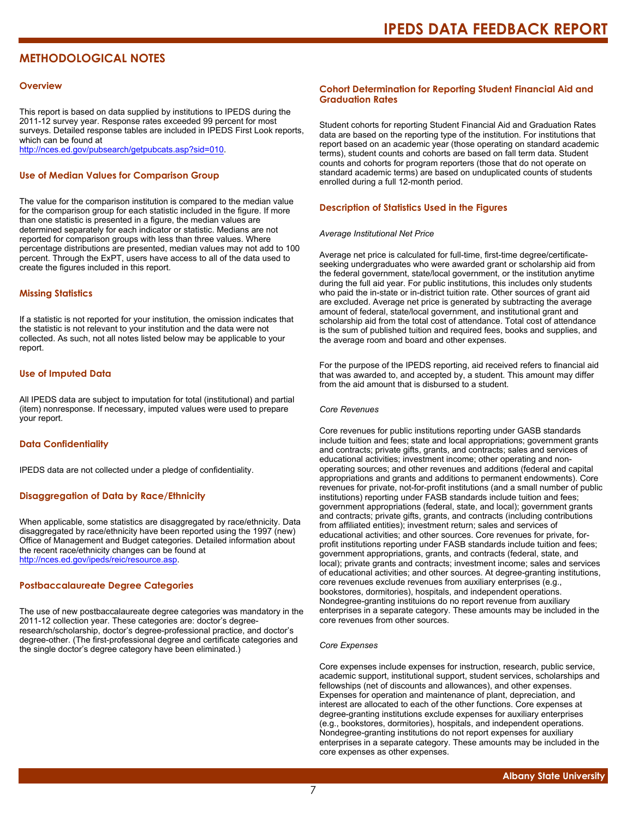# **METHODOLOGICAL NOTES**

#### **Overview**

This report is based on data supplied by institutions to IPEDS during the 2011-12 survey year. Response rates exceeded 99 percent for most surveys. Detailed response tables are included in IPEDS First Look reports, which can be found at [http://nces.ed.gov/pubsearch/getpubcats.asp?sid=010.](http://nces.ed.gov/pubsearch/getpubcats.asp?sid=010)

#### **Use of Median Values for Comparison Group**

The value for the comparison institution is compared to the median value for the comparison group for each statistic included in the figure. If more than one statistic is presented in a figure, the median values are determined separately for each indicator or statistic. Medians are not reported for comparison groups with less than three values. Where percentage distributions are presented, median values may not add to 100 percent. Through the ExPT, users have access to all of the data used to create the figures included in this report.

#### **Missing Statistics**

If a statistic is not reported for your institution, the omission indicates that the statistic is not relevant to your institution and the data were not collected. As such, not all notes listed below may be applicable to your report.

#### **Use of Imputed Data**

All IPEDS data are subject to imputation for total (institutional) and partial (item) nonresponse. If necessary, imputed values were used to prepare your report.

#### **Data Confidentiality**

IPEDS data are not collected under a pledge of confidentiality.

#### **Disaggregation of Data by Race/Ethnicity**

When applicable, some statistics are disaggregated by race/ethnicity. Data disaggregated by race/ethnicity have been reported using the 1997 (new) Office of Management and Budget categories. Detailed information about the recent race/ethnicity changes can be found at <http://nces.ed.gov/ipeds/reic/resource.asp>.

#### **Postbaccalaureate Degree Categories**

The use of new postbaccalaureate degree categories was mandatory in the 2011-12 collection year. These categories are: doctor's degreeresearch/scholarship, doctor's degree-professional practice, and doctor's degree-other. (The first-professional degree and certificate categories and the single doctor's degree category have been eliminated.)

#### **Cohort Determination for Reporting Student Financial Aid and Graduation Rates**

Student cohorts for reporting Student Financial Aid and Graduation Rates data are based on the reporting type of the institution. For institutions that report based on an academic year (those operating on standard academic terms), student counts and cohorts are based on fall term data. Student counts and cohorts for program reporters (those that do not operate on standard academic terms) are based on unduplicated counts of students enrolled during a full 12-month period.

#### **Description of Statistics Used in the Figures**

#### *Average Institutional Net Price*

Average net price is calculated for full-time, first-time degree/certificateseeking undergraduates who were awarded grant or scholarship aid from the federal government, state/local government, or the institution anytime during the full aid year. For public institutions, this includes only students who paid the in-state or in-district tuition rate. Other sources of grant aid are excluded. Average net price is generated by subtracting the average amount of federal, state/local government, and institutional grant and scholarship aid from the total cost of attendance. Total cost of attendance is the sum of published tuition and required fees, books and supplies, and the average room and board and other expenses.

For the purpose of the IPEDS reporting, aid received refers to financial aid that was awarded to, and accepted by, a student. This amount may differ from the aid amount that is disbursed to a student.

#### *Core Revenues*

Core revenues for public institutions reporting under GASB standards include tuition and fees; state and local appropriations; government grants and contracts; private gifts, grants, and contracts; sales and services of educational activities; investment income; other operating and nonoperating sources; and other revenues and additions (federal and capital appropriations and grants and additions to permanent endowments). Core revenues for private, not-for-profit institutions (and a small number of public institutions) reporting under FASB standards include tuition and fees; government appropriations (federal, state, and local); government grants and contracts; private gifts, grants, and contracts (including contributions from affiliated entities); investment return; sales and services of educational activities; and other sources. Core revenues for private, forprofit institutions reporting under FASB standards include tuition and fees; government appropriations, grants, and contracts (federal, state, and local); private grants and contracts; investment income; sales and services of educational activities; and other sources. At degree-granting institutions, core revenues exclude revenues from auxiliary enterprises (e.g., bookstores, dormitories), hospitals, and independent operations. Nondegree-granting instituions do no report revenue from auxiliary enterprises in a separate category. These amounts may be included in the core revenues from other sources.

#### *Core Expenses*

Core expenses include expenses for instruction, research, public service, academic support, institutional support, student services, scholarships and fellowships (net of discounts and allowances), and other expenses. Expenses for operation and maintenance of plant, depreciation, and interest are allocated to each of the other functions. Core expenses at degree-granting institutions exclude expenses for auxiliary enterprises (e.g., bookstores, dormitories), hospitals, and independent operations. Nondegree-granting institutions do not report expenses for auxiliary enterprises in a separate category. These amounts may be included in the core expenses as other expenses.